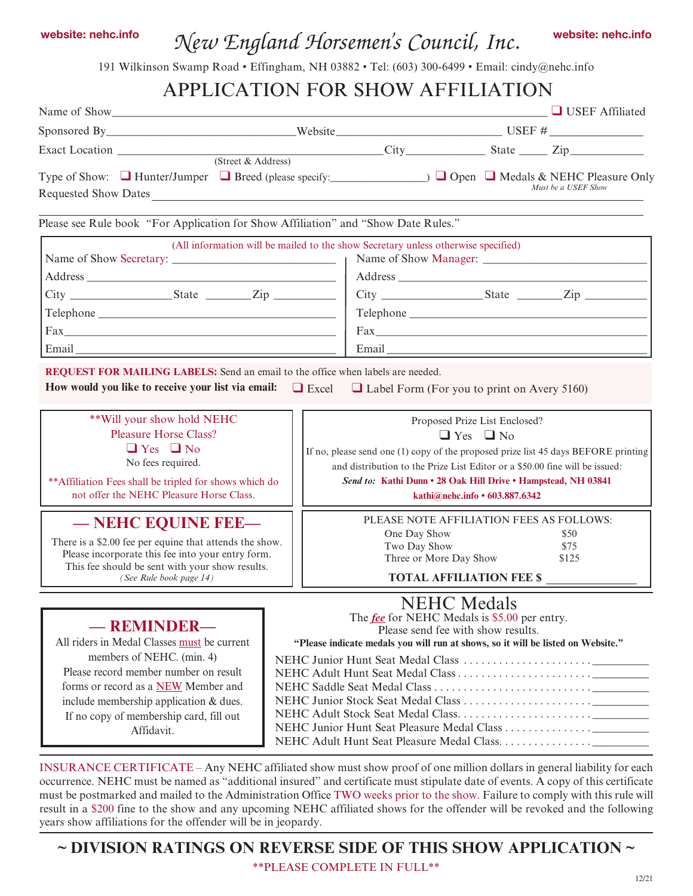# *New England Horsemen's Council, Inc.* website: nehc.info website: nehc.info

191 Wilkinson Swamp Road • Effingham, NH 03882 • Tel: (603) 300-6499 • Email: cindy@nehc.info

## APPLICATION FOR SHOW AFFILIATION

| Name of Show                                                                                                                                                                                                                                                                                                                                          |  |                                                                                                                                                                                                                                                    |                                                                                         | <b>USEF</b> Affiliated                                                                                        |
|-------------------------------------------------------------------------------------------------------------------------------------------------------------------------------------------------------------------------------------------------------------------------------------------------------------------------------------------------------|--|----------------------------------------------------------------------------------------------------------------------------------------------------------------------------------------------------------------------------------------------------|-----------------------------------------------------------------------------------------|---------------------------------------------------------------------------------------------------------------|
|                                                                                                                                                                                                                                                                                                                                                       |  |                                                                                                                                                                                                                                                    |                                                                                         |                                                                                                               |
|                                                                                                                                                                                                                                                                                                                                                       |  |                                                                                                                                                                                                                                                    |                                                                                         |                                                                                                               |
| Type of Show: ■ Hunter/Jumper ■ Breed (please specify: △ △ △ △ △ △ △ △ NEHC Pleasure Only<br>Requested Show Dates                                                                                                                                                                                                                                     |  |                                                                                                                                                                                                                                                    |                                                                                         | Must be a USEF Show                                                                                           |
| Please see Rule book "For Application for Show Affiliation" and "Show Date Rules."                                                                                                                                                                                                                                                                    |  |                                                                                                                                                                                                                                                    |                                                                                         |                                                                                                               |
|                                                                                                                                                                                                                                                                                                                                                       |  | (All information will be mailed to the show Secretary unless otherwise specified)                                                                                                                                                                  |                                                                                         |                                                                                                               |
|                                                                                                                                                                                                                                                                                                                                                       |  |                                                                                                                                                                                                                                                    |                                                                                         |                                                                                                               |
|                                                                                                                                                                                                                                                                                                                                                       |  |                                                                                                                                                                                                                                                    |                                                                                         |                                                                                                               |
|                                                                                                                                                                                                                                                                                                                                                       |  |                                                                                                                                                                                                                                                    |                                                                                         |                                                                                                               |
| $\text{Fax}_{\text{max}}$                                                                                                                                                                                                                                                                                                                             |  |                                                                                                                                                                                                                                                    |                                                                                         | $\text{Fax}$                                                                                                  |
|                                                                                                                                                                                                                                                                                                                                                       |  |                                                                                                                                                                                                                                                    |                                                                                         |                                                                                                               |
| ** Will your show hold NEHC<br><b>Pleasure Horse Class?</b><br>$\Box$ Yes $\Box$ No<br>No fees required.<br>** Affiliation Fees shall be tripled for shows which do<br>not offer the NEHC Pleasure Horse Class.<br>— NEHC EQUINE FEE—<br>There is a \$2.00 fee per equine that attends the show.<br>Please incorporate this fee into your entry form. |  | and distribution to the Prize List Editor or a \$50.00 fine will be issued:<br>Send to: Kathi Dunn • 28 Oak Hill Drive • Hampstead, NH 03841<br>PLEASE NOTE AFFILIATION FEES AS FOLLOWS:<br>One Day Show<br>Two Day Show<br>Three or More Day Show | Proposed Prize List Enclosed?<br>$\Box$ Yes $\Box$ No<br>kathi@nehc.info • 603.887.6342 | If no, please send one $(1)$ copy of the proposed prize list 45 days BEFORE printing<br>\$50<br>\$75<br>\$125 |
| This fee should be sent with your show results.                                                                                                                                                                                                                                                                                                       |  |                                                                                                                                                                                                                                                    | <b>TOTAL AFFILIATION FEE \$</b>                                                         |                                                                                                               |
| (See Rule book page 14)                                                                                                                                                                                                                                                                                                                               |  |                                                                                                                                                                                                                                                    |                                                                                         |                                                                                                               |
| -REMINDER-<br>All riders in Medal Classes must be current<br>members of NEHC. (min. 4)<br>Please record member number on result<br>forms or record as a NEW Member and<br>include membership application $&$ dues.<br>If no copy of membership card, fill out<br>Affidavit.                                                                           |  | The <i>fee</i> for NEHC Medals is \$5.00 per entry.<br>Please send fee with show results.<br>"Please indicate medals you will run at shows, so it will be listed on Website."                                                                      | <b>NEHC</b> Medals                                                                      |                                                                                                               |

occurrence. NEHC must be named as "additional insured" and certificate must stipulate date of events. A copy of this certificate must be postmarked and mailed to the Administration Office TWO weeks prior to the show. Failure to comply with this rule will result in a \$200 fine to the show and any upcoming NEHC affiliated shows for the offender will be revoked and the following years show affiliations for the offender will be in jeopardy.

**~ DIVISION RATINGS ON REVERSE SIDE OF THIS SHOW APPLICATION ~**

\*\*PLEASE COMPLETE IN FULL\*\*